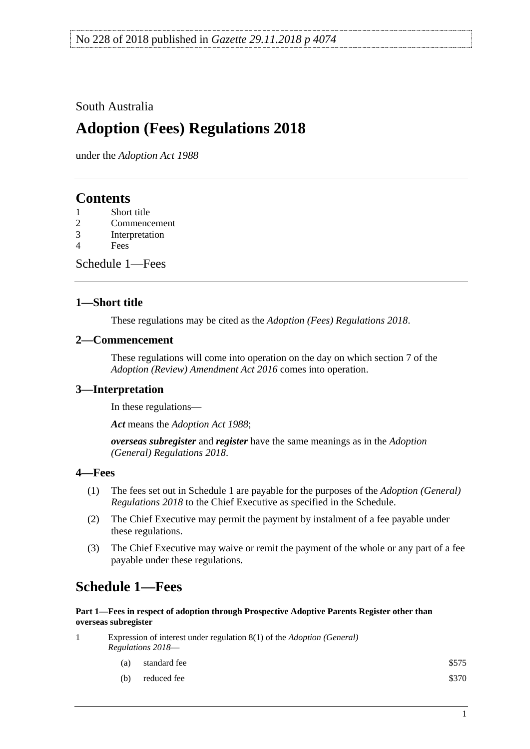### South Australia

# **Adoption (Fees) Regulations 2018**

under the *Adoption Act 1988*

## **Contents**

- 1 [Short title](#page-0-0)
- 2 [Commencement](#page-0-1)
- 3 [Interpretation](#page-0-2)
- 4 [Fees](#page-0-3)

[Schedule](#page-0-4) 1—Fees

#### <span id="page-0-0"></span>**1—Short title**

These regulations may be cited as the *Adoption (Fees) Regulations 2018*.

#### <span id="page-0-1"></span>**2—Commencement**

These regulations will come into operation on the day on which section 7 of the *[Adoption \(Review\) Amendment Act](http://www.legislation.sa.gov.au/index.aspx?action=legref&type=act&legtitle=Adoption%20(Review)%20Amendment%20Act%202016) 2016* comes into operation.

#### <span id="page-0-2"></span>**3—Interpretation**

In these regulations—

*Act* means the *[Adoption Act](http://www.legislation.sa.gov.au/index.aspx?action=legref&type=act&legtitle=Adoption%20Act%201988) 1988*;

*overseas subregister* and *register* have the same meanings as in the *[Adoption](http://www.legislation.sa.gov.au/index.aspx?action=legref&type=subordleg&legtitle=Adoption%20(General)%20Regulations%202018)  [\(General\) Regulations](http://www.legislation.sa.gov.au/index.aspx?action=legref&type=subordleg&legtitle=Adoption%20(General)%20Regulations%202018) 2018*.

#### <span id="page-0-3"></span>**4—Fees**

- (1) The fees set out in [Schedule](#page-0-4) 1 are payable for the purposes of the *[Adoption \(General\)](http://www.legislation.sa.gov.au/index.aspx?action=legref&type=subordleg&legtitle=Adoption%20(General)%20Regulations%202018)  [Regulations](http://www.legislation.sa.gov.au/index.aspx?action=legref&type=subordleg&legtitle=Adoption%20(General)%20Regulations%202018) 2018* to the Chief Executive as specified in the Schedule.
- (2) The Chief Executive may permit the payment by instalment of a fee payable under these regulations.
- (3) The Chief Executive may waive or remit the payment of the whole or any part of a fee payable under these regulations.

## <span id="page-0-4"></span>**Schedule 1—Fees**

#### **Part 1—Fees in respect of adoption through Prospective Adoptive Parents Register other than overseas subregister**

- 1 Expression of interest under regulation 8(1) of the *[Adoption \(General\)](http://www.legislation.sa.gov.au/index.aspx?action=legref&type=subordleg&legtitle=Adoption%20(General)%20Regulations%202018)  [Regulations](http://www.legislation.sa.gov.au/index.aspx?action=legref&type=subordleg&legtitle=Adoption%20(General)%20Regulations%202018) 2018*—
	- (a) standard fee \$575
	- (b) reduced fee  $$370$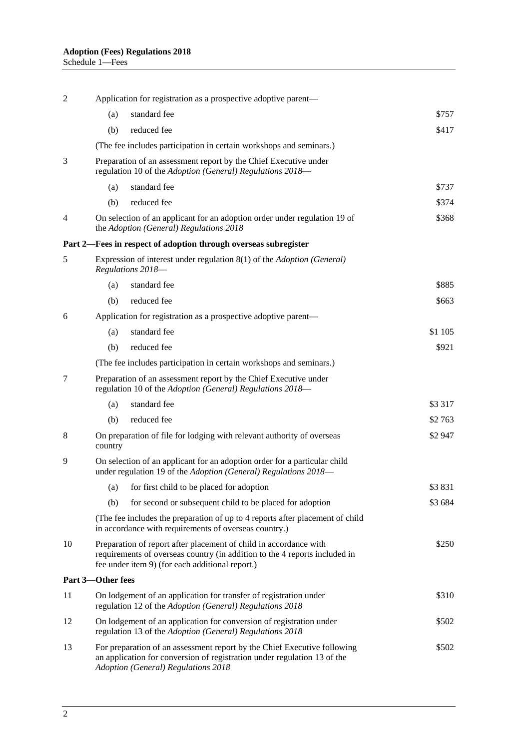| 2  | Application for registration as a prospective adoptive parent—                                                                                                                                              |                                                                                                                                          |          |
|----|-------------------------------------------------------------------------------------------------------------------------------------------------------------------------------------------------------------|------------------------------------------------------------------------------------------------------------------------------------------|----------|
|    | (a)                                                                                                                                                                                                         | standard fee                                                                                                                             | \$757    |
|    | (b)                                                                                                                                                                                                         | reduced fee                                                                                                                              | \$417    |
|    | (The fee includes participation in certain workshops and seminars.)                                                                                                                                         |                                                                                                                                          |          |
| 3  | Preparation of an assessment report by the Chief Executive under<br>regulation 10 of the Adoption (General) Regulations 2018-                                                                               |                                                                                                                                          |          |
|    | (a)                                                                                                                                                                                                         | standard fee                                                                                                                             | \$737    |
|    | (b)                                                                                                                                                                                                         | reduced fee                                                                                                                              | \$374    |
| 4  |                                                                                                                                                                                                             | \$368<br>On selection of an applicant for an adoption order under regulation 19 of<br>the Adoption (General) Regulations 2018            |          |
|    | Part 2—Fees in respect of adoption through overseas subregister                                                                                                                                             |                                                                                                                                          |          |
| 5  | Expression of interest under regulation 8(1) of the Adoption (General)<br>Regulations 2018-                                                                                                                 |                                                                                                                                          |          |
|    | (a)                                                                                                                                                                                                         | standard fee                                                                                                                             | \$885    |
|    | (b)                                                                                                                                                                                                         | reduced fee                                                                                                                              | \$663    |
| 6  | Application for registration as a prospective adoptive parent—                                                                                                                                              |                                                                                                                                          |          |
|    | (a)                                                                                                                                                                                                         | standard fee                                                                                                                             | \$1 105  |
|    | (b)                                                                                                                                                                                                         | reduced fee                                                                                                                              | \$921    |
|    | (The fee includes participation in certain workshops and seminars.)                                                                                                                                         |                                                                                                                                          |          |
| 7  | Preparation of an assessment report by the Chief Executive under<br>regulation 10 of the Adoption (General) Regulations 2018-                                                                               |                                                                                                                                          |          |
|    | (a)                                                                                                                                                                                                         | standard fee                                                                                                                             | \$3 3 17 |
|    | (b)                                                                                                                                                                                                         | reduced fee                                                                                                                              | \$2 763  |
| 8  | On preparation of file for lodging with relevant authority of overseas<br>\$2 947<br>country                                                                                                                |                                                                                                                                          |          |
| 9  | On selection of an applicant for an adoption order for a particular child<br>under regulation 19 of the Adoption (General) Regulations 2018-                                                                |                                                                                                                                          |          |
|    | (a)                                                                                                                                                                                                         | for first child to be placed for adoption                                                                                                | \$3831   |
|    | (b)                                                                                                                                                                                                         | for second or subsequent child to be placed for adoption                                                                                 | \$3684   |
|    | (The fee includes the preparation of up to 4 reports after placement of child<br>in accordance with requirements of overseas country.)                                                                      |                                                                                                                                          |          |
| 10 | Preparation of report after placement of child in accordance with<br>\$250<br>requirements of overseas country (in addition to the 4 reports included in<br>fee under item 9) (for each additional report.) |                                                                                                                                          |          |
|    | Part 3-Other fees                                                                                                                                                                                           |                                                                                                                                          |          |
| 11 | On lodgement of an application for transfer of registration under<br>regulation 12 of the Adoption (General) Regulations 2018                                                                               |                                                                                                                                          | \$310    |
| 12 |                                                                                                                                                                                                             | On lodgement of an application for conversion of registration under<br>\$502<br>regulation 13 of the Adoption (General) Regulations 2018 |          |
| 13 | For preparation of an assessment report by the Chief Executive following<br>\$502<br>an application for conversion of registration under regulation 13 of the<br>Adoption (General) Regulations 2018        |                                                                                                                                          |          |